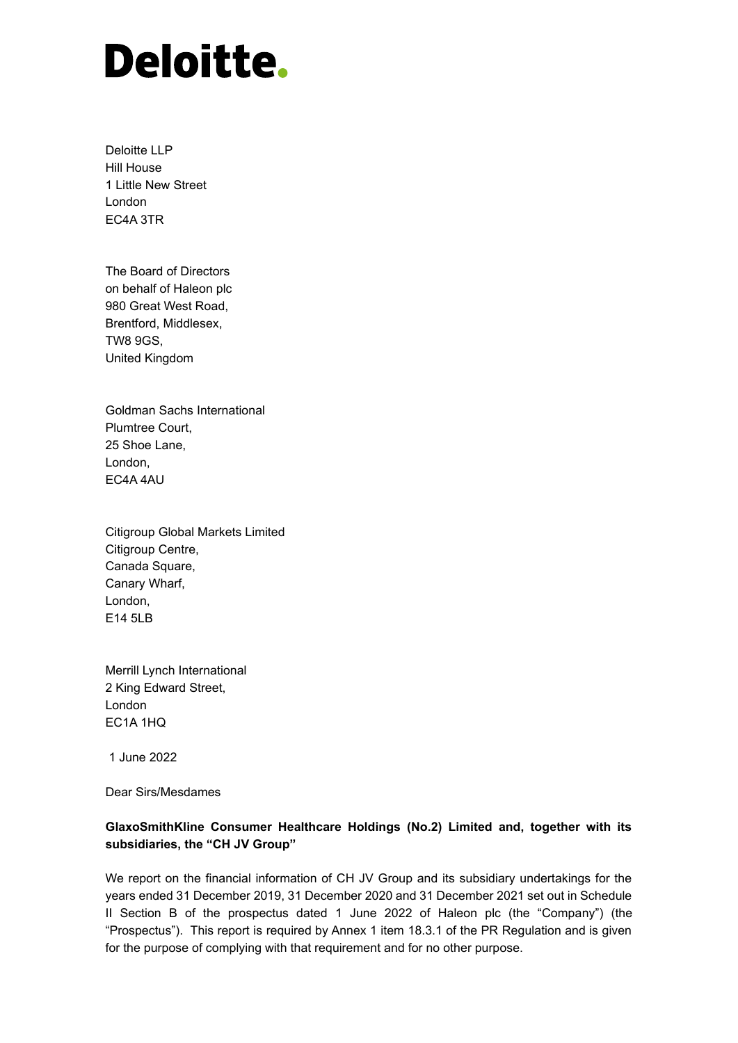# **Deloitte.**

Deloitte LLP Hill House 1 Little New Street London EC4A 3TR

The Board of Directors on behalf of Haleon plc 980 Great West Road, Brentford, Middlesex, TW8 9GS, United Kingdom

Goldman Sachs International Plumtree Court, 25 Shoe Lane, London, EC4A 4AU

Citigroup Global Markets Limited Citigroup Centre, Canada Square, Canary Wharf, London, E14 5LB

Merrill Lynch International 2 King Edward Street, London EC1A 1HQ

1 June 2022

Dear Sirs/Mesdames

# **GlaxoSmithKline Consumer Healthcare Holdings (No.2) Limited and, together with its subsidiaries, the "CH JV Group"**

We report on the financial information of CH JV Group and its subsidiary undertakings for the years ended 31 December 2019, 31 December 2020 and 31 December 2021 set out in Schedule II Section B of the prospectus dated 1 June 2022 of Haleon plc (the "Company") (the "Prospectus"). This report is required by Annex 1 item 18.3.1 of the PR Regulation and is given for the purpose of complying with that requirement and for no other purpose.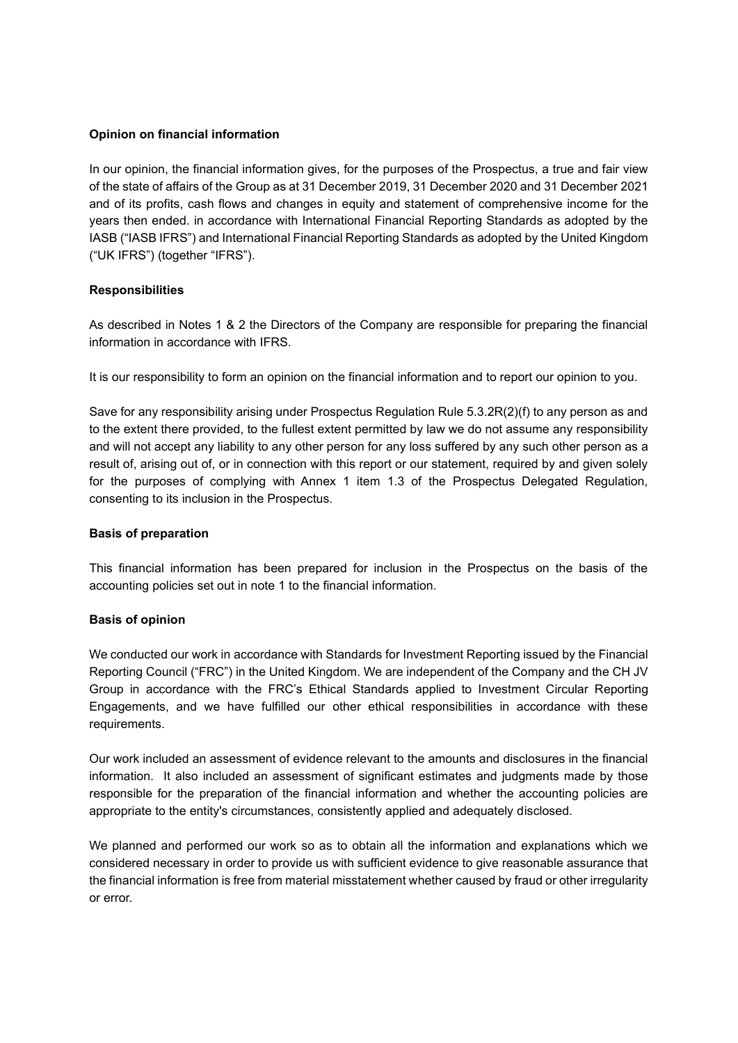#### **Opinion on financial information**

In our opinion, the financial information gives, for the purposes of the Prospectus, a true and fair view of the state of affairs of the Group as at 31 December 2019, 31 December 2020 and 31 December 2021 and of its profits, cash flows and changes in equity and statement of comprehensive income for the years then ended. in accordance with International Financial Reporting Standards as adopted by the IASB ("IASB IFRS") and International Financial Reporting Standards as adopted by the United Kingdom ("UK IFRS") (together "IFRS").

## **Responsibilities**

As described in Notes 1 & 2 the Directors of the Company are responsible for preparing the financial information in accordance with IFRS.

It is our responsibility to form an opinion on the financial information and to report our opinion to you.

Save for any responsibility arising under Prospectus Regulation Rule 5.3.2R(2)(f) to any person as and to the extent there provided, to the fullest extent permitted by law we do not assume any responsibility and will not accept any liability to any other person for any loss suffered by any such other person as a result of, arising out of, or in connection with this report or our statement, required by and given solely for the purposes of complying with Annex 1 item 1.3 of the Prospectus Delegated Regulation, consenting to its inclusion in the Prospectus.

#### **Basis of preparation**

This financial information has been prepared for inclusion in the Prospectus on the basis of the accounting policies set out in note 1 to the financial information.

#### **Basis of opinion**

We conducted our work in accordance with Standards for Investment Reporting issued by the Financial Reporting Council ("FRC") in the United Kingdom. We are independent of the Company and the CH JV Group in accordance with the FRC's Ethical Standards applied to Investment Circular Reporting Engagements, and we have fulfilled our other ethical responsibilities in accordance with these requirements.

Our work included an assessment of evidence relevant to the amounts and disclosures in the financial information. It also included an assessment of significant estimates and judgments made by those responsible for the preparation of the financial information and whether the accounting policies are appropriate to the entity's circumstances, consistently applied and adequately disclosed.

We planned and performed our work so as to obtain all the information and explanations which we considered necessary in order to provide us with sufficient evidence to give reasonable assurance that the financial information is free from material misstatement whether caused by fraud or other irregularity or error.